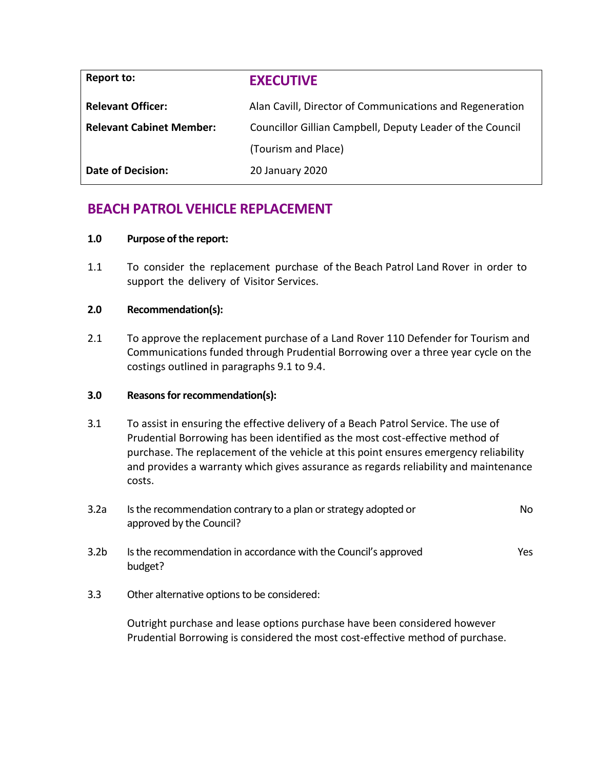| <b>Report to:</b>               | <b>EXECUTIVE</b>                                          |  |
|---------------------------------|-----------------------------------------------------------|--|
| <b>Relevant Officer:</b>        | Alan Cavill, Director of Communications and Regeneration  |  |
| <b>Relevant Cabinet Member:</b> | Councillor Gillian Campbell, Deputy Leader of the Council |  |
|                                 | (Tourism and Place)                                       |  |
| <b>Date of Decision:</b>        | 20 January 2020                                           |  |

# **BEACH PATROL VEHICLE REPLACEMENT**

# **1.0 Purpose of the report:**

1.1 To consider the replacement purchase of the Beach Patrol Land Rover in order to support the delivery of Visitor Services.

# **2.0 Recommendation(s):**

2.1 To approve the replacement purchase of a Land Rover 110 Defender for Tourism and Communications funded through Prudential Borrowing over a three year cycle on the costings outlined in paragraphs 9.1 to 9.4.

# **3.0 Reasons for recommendation(s):**

3.1 To assist in ensuring the effective delivery of a Beach Patrol Service. The use of Prudential Borrowing has been identified as the most cost-effective method of purchase. The replacement of the vehicle at this point ensures emergency reliability and provides a warranty which gives assurance as regards reliability and maintenance costs.

| 3.2a             | Is the recommendation contrary to a plan or strategy adopted or<br>approved by the Council? | No.        |
|------------------|---------------------------------------------------------------------------------------------|------------|
| 3.2 <sub>b</sub> | Is the recommendation in accordance with the Council's approved<br>budget?                  | <b>Yes</b> |
| 3.3              | Other alternative options to be considered:                                                 |            |

Outright purchase and lease options purchase have been considered however Prudential Borrowing is considered the most cost-effective method of purchase.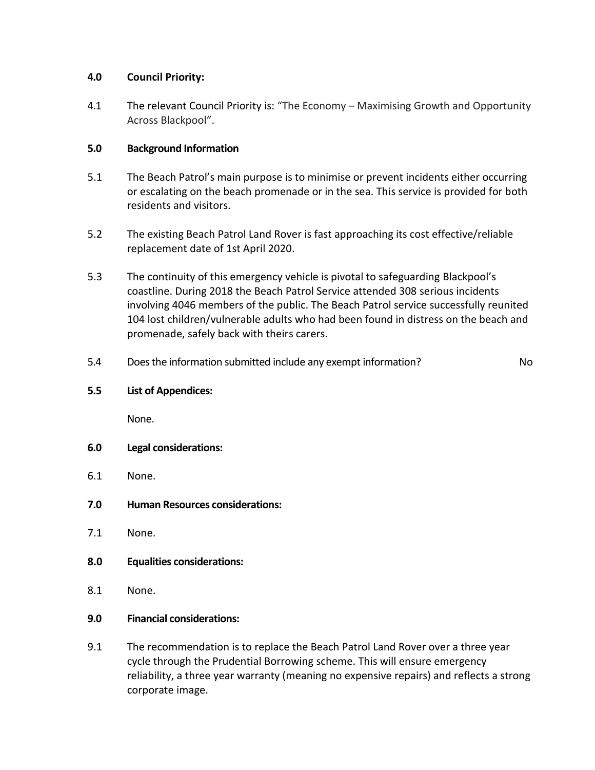# **4.0 Council Priority:**

4.1 The relevant Council Priority is: "The Economy – Maximising Growth and Opportunity Across Blackpool".

# **5.0 Background Information**

- 5.1 The Beach Patrol's main purpose is to minimise or prevent incidents either occurring or escalating on the beach promenade or in the sea. This service is provided for both residents and visitors.
- 5.2 The existing Beach Patrol Land Rover is fast approaching its cost effective/reliable replacement date of 1st April 2020.
- 5.3 The continuity of this emergency vehicle is pivotal to safeguarding Blackpool's coastline. During 2018 the Beach Patrol Service attended 308 serious incidents involving 4046 members of the public. The Beach Patrol service successfully reunited 104 lost children/vulnerable adults who had been found in distress on the beach and promenade, safely back with theirs carers.
- 5.4 Does the information submitted include any exempt information? No

**5.5 List of Appendices:**

None.

- **6.0 Legal considerations:**
- 6.1 None.
- **7.0 Human Resources considerations:**
- 7.1 None.
- **8.0 Equalities considerations:**
- 8.1 None.
- **9.0 Financial considerations:**
- 9.1 The recommendation is to replace the Beach Patrol Land Rover over a three year cycle through the Prudential Borrowing scheme. This will ensure emergency reliability, a three year warranty (meaning no expensive repairs) and reflects a strong corporate image.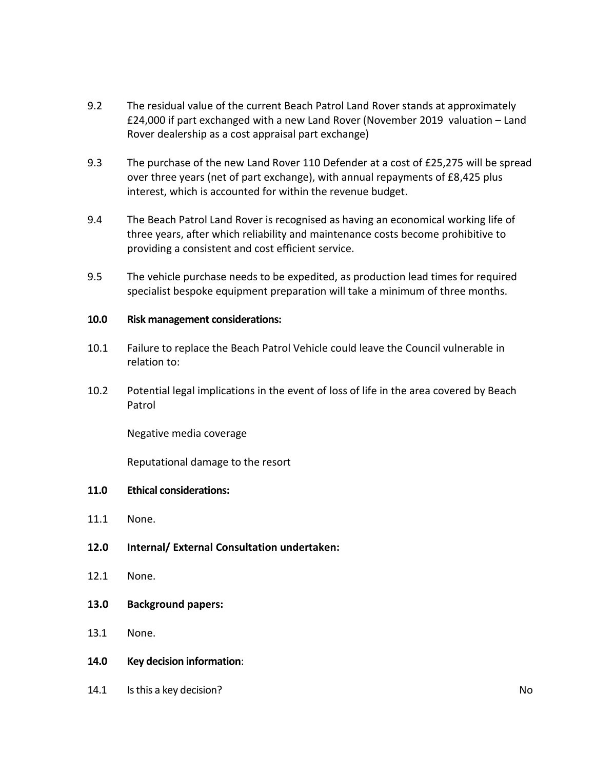- 9.2 The residual value of the current Beach Patrol Land Rover stands at approximately £24,000 if part exchanged with a new Land Rover (November 2019 valuation – Land Rover dealership as a cost appraisal part exchange)
- 9.3 The purchase of the new Land Rover 110 Defender at a cost of £25,275 will be spread over three years (net of part exchange), with annual repayments of £8,425 plus interest, which is accounted for within the revenue budget.
- 9.4 The Beach Patrol Land Rover is recognised as having an economical working life of three years, after which reliability and maintenance costs become prohibitive to providing a consistent and cost efficient service.
- 9.5 The vehicle purchase needs to be expedited, as production lead times for required specialist bespoke equipment preparation will take a minimum of three months.

# **10.0 Risk management considerations:**

- 10.1 Failure to replace the Beach Patrol Vehicle could leave the Council vulnerable in relation to:
- 10.2 Potential legal implications in the event of loss of life in the area covered by Beach Patrol

Negative media coverage

Reputational damage to the resort

# **11.0 Ethical considerations:**

- 11.1 None.
- **12.0 Internal/ External Consultation undertaken:**
- 12.1 None.
- **13.0 Background papers:**
- 13.1 None.
- **14.0 Key decision information**:
- 14.1 Is this a key decision? No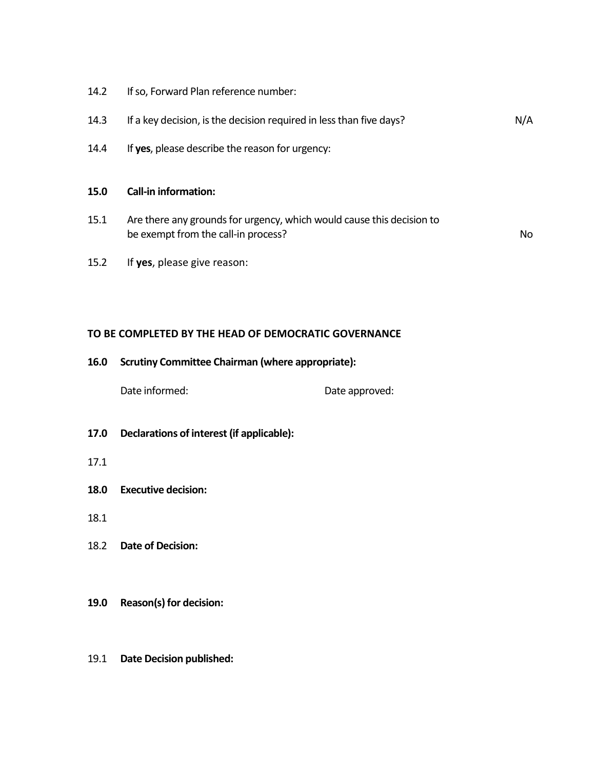14.2 If so, Forward Plan reference number:

| 14.3 | If a key decision, is the decision required in less than five days? | N/A |
|------|---------------------------------------------------------------------|-----|
|------|---------------------------------------------------------------------|-----|

14.4 If **yes**, please describe the reason for urgency:

#### **15.0 Call-in information:**

15.1 Are there any grounds for urgency, which would cause this decision to be exempt from the call-in process? No

15.2 If **yes**, please give reason:

# **TO BE COMPLETED BY THE HEAD OF DEMOCRATIC GOVERNANCE**

#### **16.0 Scrutiny Committee Chairman (where appropriate):**

Date informed: Date approved:

- **17.0 Declarations of interest (if applicable):**
- 17.1
- **18.0 Executive decision:**
- 18.1
- 18.2 **Date of Decision:**

#### **19.0 Reason(s) for decision:**

#### 19.1 **Date Decision published:**